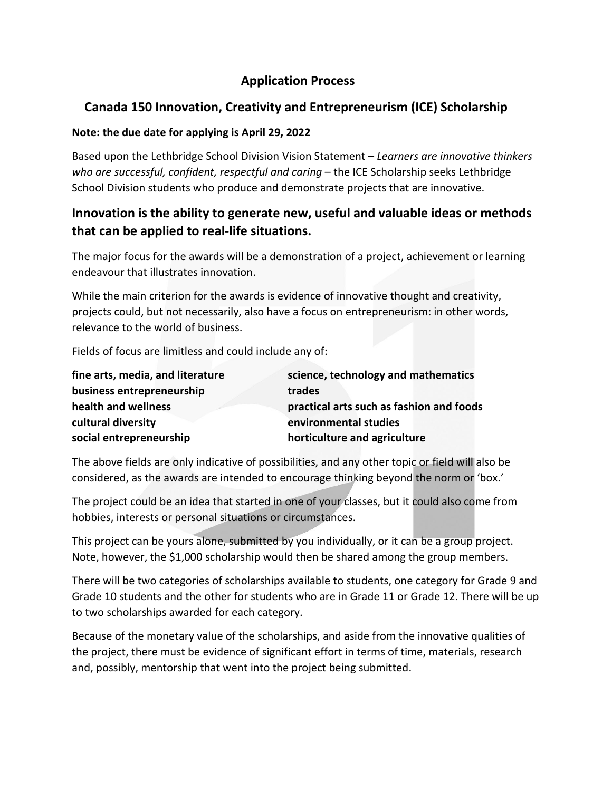# **Application Process**

# **Canada 150 Innovation, Creativity and Entrepreneurism (ICE) Scholarship**

### **Note: the due date for applying is April 29, 2022**

Based upon the Lethbridge School Division Vision Statement – *Learners are innovative thinkers who are successful, confident, respectful and caring* – the ICE Scholarship seeks Lethbridge School Division students who produce and demonstrate projects that are innovative.

# **Innovation is the ability to generate new, useful and valuable ideas or methods that can be applied to real-life situations.**

The major focus for the awards will be a demonstration of a project, achievement or learning endeavour that illustrates innovation.

While the main criterion for the awards is evidence of innovative thought and creativity, projects could, but not necessarily, also have a focus on entrepreneurism: in other words, relevance to the world of business.

Fields of focus are limitless and could include any of:

| fine arts, media, and literature | science, technology and mathematics      |
|----------------------------------|------------------------------------------|
| business entrepreneurship        | trades                                   |
| health and wellness              | practical arts such as fashion and foods |
| cultural diversity               | environmental studies                    |
| social entrepreneurship          | horticulture and agriculture             |

The above fields are only indicative of possibilities, and any other topic or field will also be considered, as the awards are intended to encourage thinking beyond the norm or 'box.'

The project could be an idea that started in one of your classes, but it could also come from hobbies, interests or personal situations or circumstances.

This project can be yours alone, submitted by you individually, or it can be a group project. Note, however, the \$1,000 scholarship would then be shared among the group members.

There will be two categories of scholarships available to students, one category for Grade 9 and Grade 10 students and the other for students who are in Grade 11 or Grade 12. There will be up to two scholarships awarded for each category.

Because of the monetary value of the scholarships, and aside from the innovative qualities of the project, there must be evidence of significant effort in terms of time, materials, research and, possibly, mentorship that went into the project being submitted.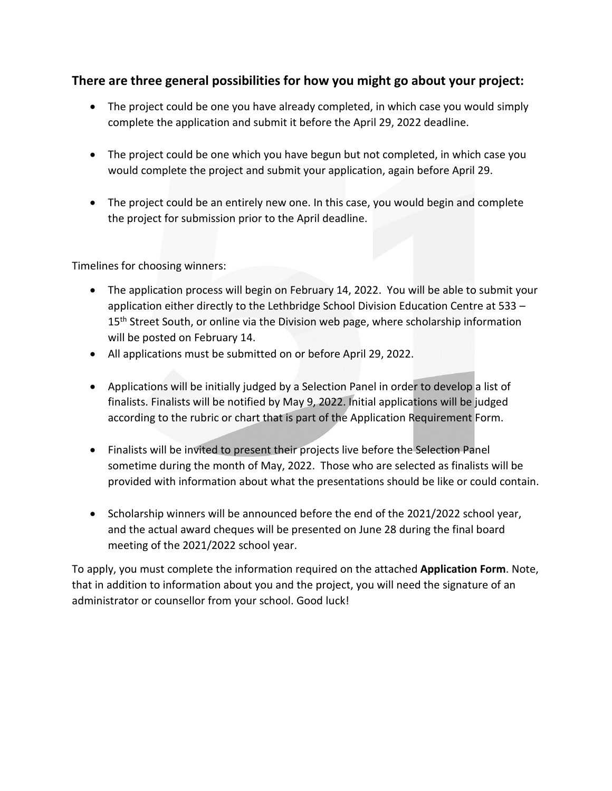### **There are three general possibilities for how you might go about your project:**

- The project could be one you have already completed, in which case you would simply complete the application and submit it before the April 29, 2022 deadline.
- The project could be one which you have begun but not completed, in which case you would complete the project and submit your application, again before April 29.
- The project could be an entirely new one. In this case, you would begin and complete the project for submission prior to the April deadline.

Timelines for choosing winners:

- The application process will begin on February 14, 2022. You will be able to submit your application either directly to the Lethbridge School Division Education Centre at 533 – 15<sup>th</sup> Street South, or online via the Division web page, where scholarship information will be posted on February 14.
- All applications must be submitted on or before April 29, 2022.
- Applications will be initially judged by a Selection Panel in order to develop a list of finalists. Finalists will be notified by May 9, 2022. Initial applications will be judged according to the rubric or chart that is part of the Application Requirement Form.
- Finalists will be invited to present their projects live before the Selection Panel sometime during the month of May, 2022. Those who are selected as finalists will be provided with information about what the presentations should be like or could contain.
- Scholarship winners will be announced before the end of the 2021/2022 school year, and the actual award cheques will be presented on June 28 during the final board meeting of the 2021/2022 school year.

To apply, you must complete the information required on the attached **Application Form**. Note, that in addition to information about you and the project, you will need the signature of an administrator or counsellor from your school. Good luck!